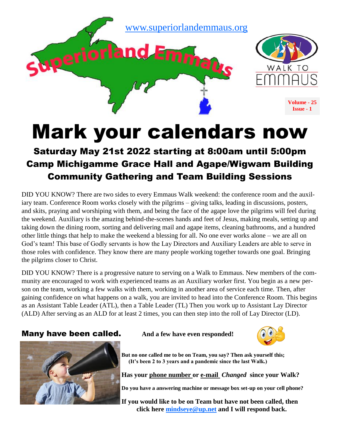

# Mark your calendars now

### Saturday May 21st 2022 starting at 8:00am until 5:00pm Camp Michigamme Grace Hall and Agape/Wigwam Building Community Gathering and Team Building Sessions

DID YOU KNOW? There are two sides to every Emmaus Walk weekend: the conference room and the auxiliary team. Conference Room works closely with the pilgrims – giving talks, leading in discussions, posters, and skits, praying and worshiping with them, and being the face of the agape love the pilgrims will feel during the weekend. Auxiliary is the amazing behind-the-scenes hands and feet of Jesus, making meals, setting up and taking down the dining room, sorting and delivering mail and agape items, cleaning bathrooms, and a hundred other little things that help to make the weekend a blessing for all. No one ever works alone – we are all on God's team! This base of Godly servants is how the Lay Directors and Auxiliary Leaders are able to serve in those roles with confidence. They know there are many people working together towards one goal. Bringing the pilgrims closer to Christ.

DID YOU KNOW? There is a progressive nature to serving on a Walk to Emmaus. New members of the community are encouraged to work with experienced teams as an Auxiliary worker first. You begin as a new person on the team, working a few walks with them, working in another area of service each time. Then, after gaining confidence on what happens on a walk, you are invited to head into the Conference Room. This begins as an Assistant Table Leader (ATL), then a Table Leader (TL) Then you work up to Assistant Lay Director (ALD) After serving as an ALD for at least 2 times, you can then step into the roll of Lay Director (LD).

#### **Many have been called.** And a few have even responded!





**But no one called me to be on Team, you say? Then ask yourself this; (It's been 2 to 3 years and a pandemic since the last Walk.)** 

**Has your phone number or e-mail** *Changed* **since your Walk?**

**Do you have a answering machine or message box set-up on your cell phone?**

**If you would like to be on Team but have not been called, then click here [mindseye@up.net](mailto:mindseye@up.net?subject=I%20want%20to%20be%20on%20Team) and I will respond back.**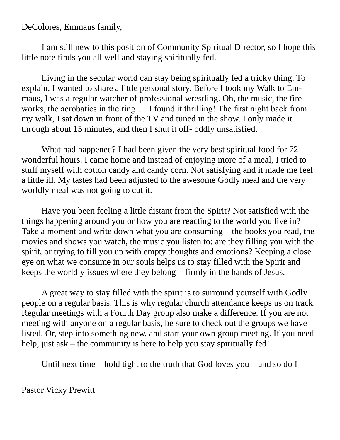DeColores, Emmaus family,

I am still new to this position of Community Spiritual Director, so I hope this little note finds you all well and staying spiritually fed.

Living in the secular world can stay being spiritually fed a tricky thing. To explain, I wanted to share a little personal story. Before I took my Walk to Emmaus, I was a regular watcher of professional wrestling. Oh, the music, the fireworks, the acrobatics in the ring … I found it thrilling! The first night back from my walk, I sat down in front of the TV and tuned in the show. I only made it through about 15 minutes, and then I shut it off- oddly unsatisfied.

What had happened? I had been given the very best spiritual food for 72 wonderful hours. I came home and instead of enjoying more of a meal, I tried to stuff myself with cotton candy and candy corn. Not satisfying and it made me feel a little ill. My tastes had been adjusted to the awesome Godly meal and the very worldly meal was not going to cut it.

Have you been feeling a little distant from the Spirit? Not satisfied with the things happening around you or how you are reacting to the world you live in? Take a moment and write down what you are consuming – the books you read, the movies and shows you watch, the music you listen to: are they filling you with the spirit, or trying to fill you up with empty thoughts and emotions? Keeping a close eye on what we consume in our souls helps us to stay filled with the Spirit and keeps the worldly issues where they belong – firmly in the hands of Jesus.

A great way to stay filled with the spirit is to surround yourself with Godly people on a regular basis. This is why regular church attendance keeps us on track. Regular meetings with a Fourth Day group also make a difference. If you are not meeting with anyone on a regular basis, be sure to check out the groups we have listed. Or, step into something new, and start your own group meeting. If you need help, just ask – the community is here to help you stay spiritually fed!

Until next time – hold tight to the truth that God loves you – and so do I

Pastor Vicky Prewitt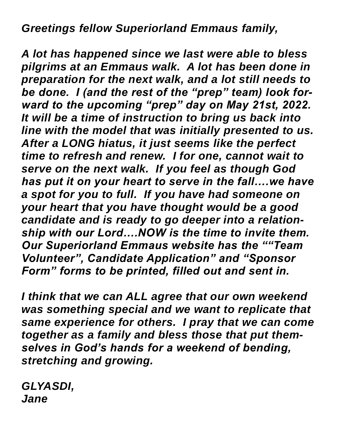## *Greetings fellow Superiorland Emmaus family,*

*A lot has happened since we last were able to bless pilgrims at an Emmaus walk. A lot has been done in preparation for the next walk, and a lot still needs to be done. I (and the rest of the "prep" team) look forward to the upcoming "prep" day on May 21st, 2022. It will be a time of instruction to bring us back into line with the model that was initially presented to us. After a LONG hiatus, it just seems like the perfect time to refresh and renew. I for one, cannot wait to serve on the next walk. If you feel as though God has put it on your heart to serve in the fall….we have a spot for you to full. If you have had someone on your heart that you have thought would be a good candidate and is ready to go deeper into a relationship with our Lord….NOW is the time to invite them. Our Superiorland Emmaus website has the ""Team Volunteer", Candidate Application" and "Sponsor Form" forms to be printed, filled out and sent in.* 

*I think that we can ALL agree that our own weekend was something special and we want to replicate that same experience for others. I pray that we can come together as a family and bless those that put themselves in God's hands for a weekend of bending, stretching and growing.*

*GLYASDI, Jane*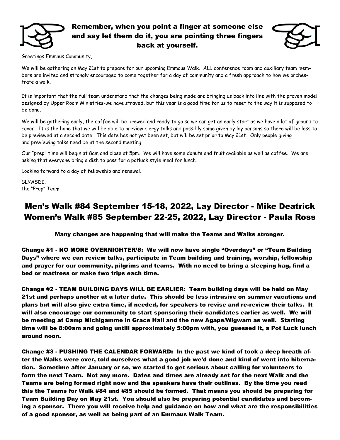

#### Remember, when you point a finger at someone else and say let them do it, you are pointing three fingers back at yourself.



Greetings Emmaus Community,

We will be gathering on May 21st to prepare for our upcoming Emmaus Walk. ALL conference room and auxiliary team members are invited and strongly encouraged to come together for a day of community and a fresh approach to how we orchestrate a walk.

It is important that the full team understand that the changes being made are bringing us back into line with the proven model designed by Upper Room Ministries-we have strayed, but this year is a good time for us to reset to the way it is supposed to be done.

We will be gathering early, the coffee will be brewed and ready to go so we can get an early start as we have a lot of ground to cover. It is the hope that we will be able to preview clergy talks and possibly some given by lay persons so there will be less to be previewed at a second date. This date has not yet been set, but will be set prior to May 21st. Only people giving and previewing talks need be at the second meeting.

Our "prep" time will begin at 8am and close at 5pm. We will have some donuts and fruit available as well as coffee. We are asking that everyone bring a dish to pass for a potluck style meal for lunch.

Looking forward to a day of fellowship and renewal.

GLYASDI, the "Prep" Team

### Men's Walk #84 September 15-18, 2022, Lay Director - Mike Deatrick Women's Walk #85 September 22-25, 2022, Lay Director - Paula Ross

Many changes are happening that will make the Teams and Walks stronger.

Change #1 - NO MORE OVERNIGHTER'S: We will now have single "Overdays" or "Team Building Days" where we can review talks, participate in Team building and training, worship, fellowship and prayer for our community, pilgrims and teams. With no need to bring a sleeping bag, find a bed or mattress or make two trips each time.

Change #2 - TEAM BUILDING DAYS WILL BE EARLIER: Team building days will be held on May 21st and perhaps another at a later date. This should be less intrusive on summer vacations and plans but will also give extra time, if needed, for speakers to revise and re-review their talks. It will also encourage our community to start sponsoring their candidates earlier as well. We will be meeting at Camp Michigamme in Grace Hall and the new Agape/Wigwam as well. Starting time will be 8:00am and going untill approximately 5:00pm with, you guessed it, a Pot Luck lunch around noon.

Change #3 - PUSHING THE CALENDAR FORWARD: In the past we kind of took a deep breath after the Walks were over, told ourselves what a good job we'd done and kind of went into hibernation. Sometime after January or so, we started to get serious about calling for volunteers to form the next Team. Not any more. Dates and times are already set for the next Walk and the Teams are being formed **right now** and the speakers have their outlines. By the time you read this the Teams for Walk #84 and #85 should be formed. That means you should be preparing for Team Building Day on May 21st. You should also be preparing potential candidates and becoming a sponsor. There you will receive help and guidance on how and what are the responsibilities of a good sponsor, as well as being part of an Emmaus Walk Team.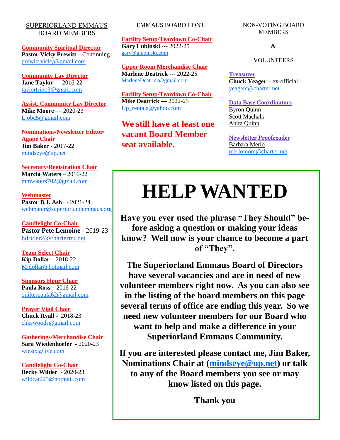#### SUPERIORLAND EMMAUS BOARD MEMBERS

**Community Spiritual Director Pastor Vicky Prewitt** – Continuing [prewitt.vicky@gmail.com](mailto:prewitt.vicky@gmail.com)

**Community Lay Director Jane Taylor —** 2016-22 [taylortrioo3@gmail.com](mailto:Taylortrioo3@gmail.com)

**Assist. Community Lay Director Mike Moore** — 2020-23 [Ljobc5@gmail.com](mailto:ljobc5@gmail.com)

**Nominations/Newsletter Editor/ Agape Chair Jim Baker** - 2017-22 [mindseye@up.net](mailto:mindseye@up.net)

**Secretary/Registration Chair Marcia Waters** – 2016-22 [mmwaters702@gmail.com](mailto:mmwaters702@gmail.com)

**Webmaster Pastor B.J. Ash** - 2021-24 [webmater@superiorlandemmaus.org](mailto:webmaster@superiorlandemmaus.org)

**Candlelight Co-Chair Pastor Pete Lemoine** - 2019-23 hdrider2@chartermi.net

**Team Select Chair Kip Dollar** – 2018-22 [Mjdollar@hotmail.com](mailto:Mjdollar@hotmail.com)

**Sponsors Hour Chair Paula Ross** – 2016-22 [quilterpaula62@gmail.com](mailto:quilterpaula62@gmail.com)

**Prayer Vigil Chair Chuck Ryall** - 2018-23 [chkswoods@gmail.com](mailto:chkswoods@gmail.com)

**Gatherings/Merchandise Chair Sara Wiedenhoefer -** 2020-23 [wiesix@live.com](mailto:wiesiz@live.com)

**Candlelight Co-Chair Becky Wilder -** 2020-23 [wildcat225@hotmail.com](mailto:wildcat225@hotmail.com)

#### EMMAUS BOARD CONT.

**Facility Setup/Teardown Co-Chair Gary Lubinski ---** 2022-25 [gary@glubinski.com](mailto:gary@glubinski.com)

**Upper Room Merchandise Chair Marlene Deatrick ---** 2022-25 [MarleneDeatrick@gmail.com](mailto:MarleneDeatrick@gmail.com)

**Facility Setup/Teardown Co-Chair Mike Deatrick** --- 2022-25 [Up\\_rentals@yahoo.com](mailto:up_rentals@yahoo.com)

**We still have at least one vacant Board Member seat available.**

NON-VOTING BOARD MEMBERS

&

VOLUNTEERS

**Treasurer Chuck Yeager** – ex-official [yeagerc@charter.net](mailto:yeagerc@charter.net)

**Data Base Coordinators** Byron Quinn Scott Machalk Anita Quinn

**Newsletter Proofreader** Barbara Merlo [merlomom@charter.net](mailto:merlomom@charter.net)

# **HELP WANTED**

**Have you ever used the phrase "They Should" before asking a question or making your ideas know? Well now is your chance to become a part of "They".** 

**The Superiorland Emmaus Board of Directors have several vacancies and are in need of new volunteer members right now. As you can also see in the listing of the board members on this page several terms of office are ending this year. So we need new volunteer members for our Board who want to help and make a difference in your Superiorland Emmaus Community.**

**If you are interested please contact me, Jim Baker, Nominations Chair at [\(mindseye@up.net\)](mailto:mindseye@up.net?subject=Emmaus%20Board%20volunteer) or talk to any of the Board members you see or may know listed on this page.**

**Thank you**